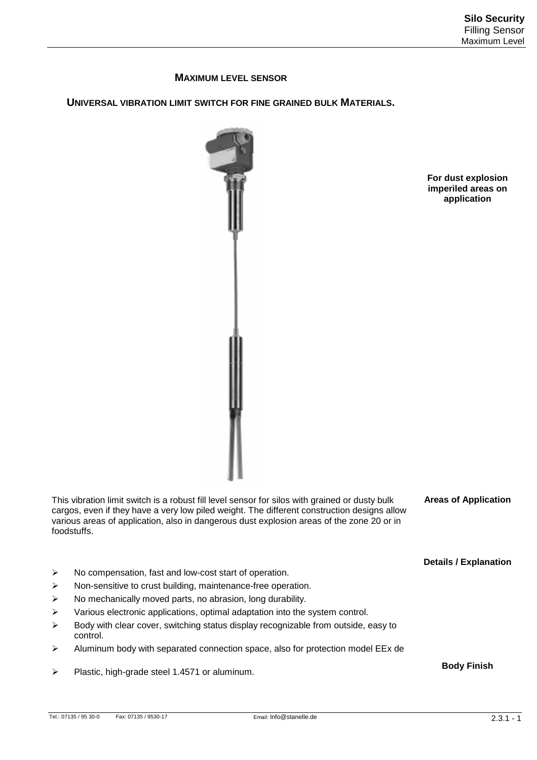## **MAXIMUM LEVEL SENSOR**

**UNIVERSAL VIBRATION LIMIT SWITCH FOR FINE GRAINED BULK MATERIALS.** 



**For dust explosion imperiled areas on application** 

This vibration limit switch is a robust fill level sensor for silos with grained or dusty bulk cargos, even if they have a very low piled weight. The different construction designs allow various areas of application, also in dangerous dust explosion areas of the zone 20 or in foodstuffs.

**Areas of Application** 

**Details / Explanation** 

**Body Finish** 

- No compensation, fast and low-cost start of operation.
- > Non-sensitive to crust building, maintenance-free operation.
- $\triangleright$  No mechanically moved parts, no abrasion, long durability.
- $\triangleright$  Various electronic applications, optimal adaptation into the system control.
- $\triangleright$  Body with clear cover, switching status display recognizable from outside, easy to control.
- $\triangleright$  Aluminum body with separated connection space, also for protection model EEx de
- Plastic, high-grade steel 1.4571 or aluminum.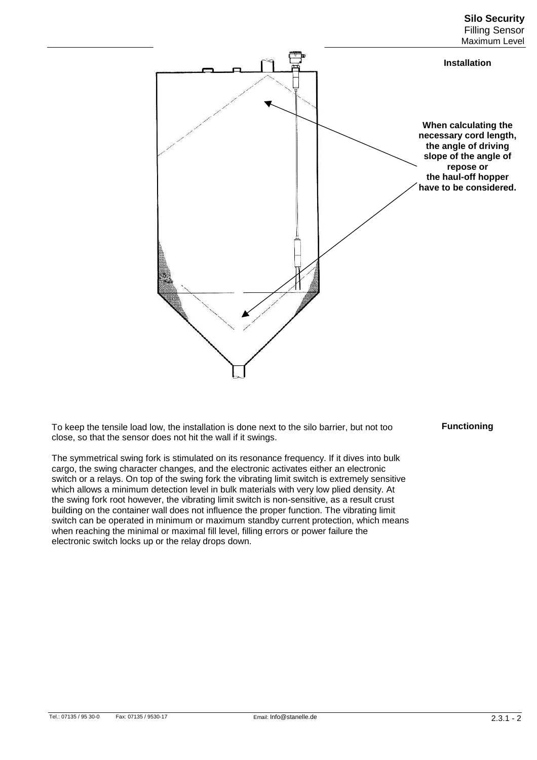#### **Silo Security**  Filling Sensor Maximum Level



To keep the tensile load low, the installation is done next to the silo barrier, but not too close, so that the sensor does not hit the wall if it swings.

The symmetrical swing fork is stimulated on its resonance frequency. If it dives into bulk cargo, the swing character changes, and the electronic activates either an electronic switch or a relays. On top of the swing fork the vibrating limit switch is extremely sensitive which allows a minimum detection level in bulk materials with very low plied density. At the swing fork root however, the vibrating limit switch is non-sensitive, as a result crust building on the container wall does not influence the proper function. The vibrating limit switch can be operated in minimum or maximum standby current protection, which means when reaching the minimal or maximal fill level, filling errors or power failure the electronic switch locks up or the relay drops down.

### **Functioning**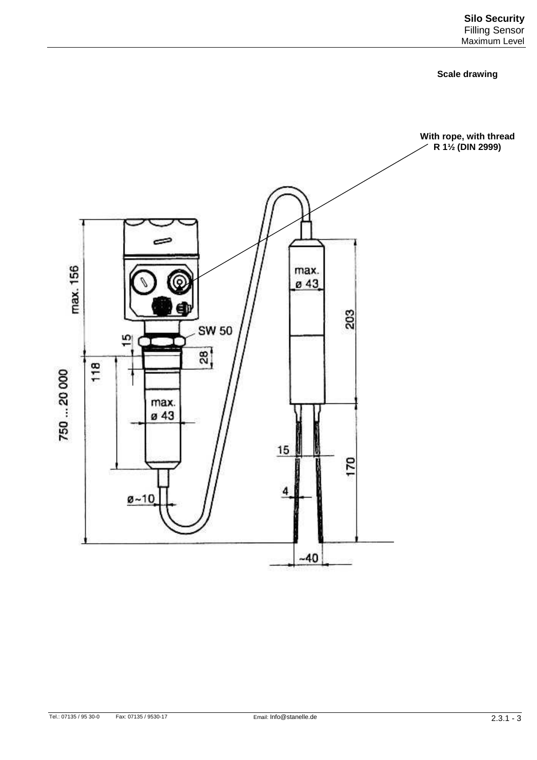#### **Scale drawing**

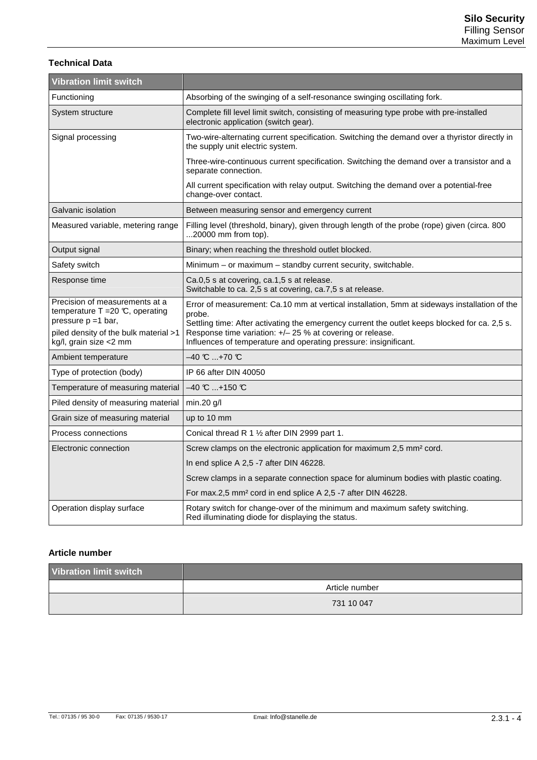## **Technical Data**

| <b>Vibration limit switch</b>                                                                                                                                    |                                                                                                                                                                                                                                                                                                                                          |
|------------------------------------------------------------------------------------------------------------------------------------------------------------------|------------------------------------------------------------------------------------------------------------------------------------------------------------------------------------------------------------------------------------------------------------------------------------------------------------------------------------------|
| Functioning                                                                                                                                                      | Absorbing of the swinging of a self-resonance swinging oscillating fork.                                                                                                                                                                                                                                                                 |
| System structure                                                                                                                                                 | Complete fill level limit switch, consisting of measuring type probe with pre-installed<br>electronic application (switch gear).                                                                                                                                                                                                         |
| Signal processing                                                                                                                                                | Two-wire-alternating current specification. Switching the demand over a thyristor directly in<br>the supply unit electric system.                                                                                                                                                                                                        |
|                                                                                                                                                                  | Three-wire-continuous current specification. Switching the demand over a transistor and a<br>separate connection.                                                                                                                                                                                                                        |
|                                                                                                                                                                  | All current specification with relay output. Switching the demand over a potential-free<br>change-over contact.                                                                                                                                                                                                                          |
| Galvanic isolation                                                                                                                                               | Between measuring sensor and emergency current                                                                                                                                                                                                                                                                                           |
| Measured variable, metering range                                                                                                                                | Filling level (threshold, binary), given through length of the probe (rope) given (circa. 800<br>$20000$ mm from top).                                                                                                                                                                                                                   |
| Output signal                                                                                                                                                    | Binary; when reaching the threshold outlet blocked.                                                                                                                                                                                                                                                                                      |
| Safety switch                                                                                                                                                    | Minimum - or maximum - standby current security, switchable.                                                                                                                                                                                                                                                                             |
| Response time                                                                                                                                                    | Ca.0,5 s at covering, ca.1,5 s at release.<br>Switchable to ca. 2,5 s at covering, ca.7,5 s at release.                                                                                                                                                                                                                                  |
| Precision of measurements at a<br>temperature $T = 20$ °C, operating<br>pressure $p = 1$ bar,<br>piled density of the bulk material >1<br>kg/l, grain size <2 mm | Error of measurement: Ca.10 mm at vertical installation, 5mm at sideways installation of the<br>probe.<br>Settling time: After activating the emergency current the outlet keeps blocked for ca. 2,5 s.<br>Response time variation: +/- 25 % at covering or release.<br>Influences of temperature and operating pressure: insignificant. |
| Ambient temperature                                                                                                                                              | $-40$ C $+70$ C                                                                                                                                                                                                                                                                                                                          |
| Type of protection (body)                                                                                                                                        | IP 66 after DIN 40050                                                                                                                                                                                                                                                                                                                    |
| Temperature of measuring material                                                                                                                                | $-40$ C  +150 °C                                                                                                                                                                                                                                                                                                                         |
| Piled density of measuring material                                                                                                                              | min.20 g/l                                                                                                                                                                                                                                                                                                                               |
| Grain size of measuring material                                                                                                                                 | up to 10 mm                                                                                                                                                                                                                                                                                                                              |
| Process connections                                                                                                                                              | Conical thread R 1 1/2 after DIN 2999 part 1.                                                                                                                                                                                                                                                                                            |
| Electronic connection                                                                                                                                            | Screw clamps on the electronic application for maximum 2,5 mm <sup>2</sup> cord.                                                                                                                                                                                                                                                         |
|                                                                                                                                                                  | In end splice A 2,5 -7 after DIN 46228.                                                                                                                                                                                                                                                                                                  |
|                                                                                                                                                                  | Screw clamps in a separate connection space for aluminum bodies with plastic coating.                                                                                                                                                                                                                                                    |
|                                                                                                                                                                  | For max.2,5 mm <sup>2</sup> cord in end splice A 2,5 -7 after DIN 46228.                                                                                                                                                                                                                                                                 |
| Operation display surface                                                                                                                                        | Rotary switch for change-over of the minimum and maximum safety switching.<br>Red illuminating diode for displaying the status.                                                                                                                                                                                                          |

## **Article number**

| <b>Vibration limit switch</b> |                |
|-------------------------------|----------------|
|                               | Article number |
|                               | 731 10 047     |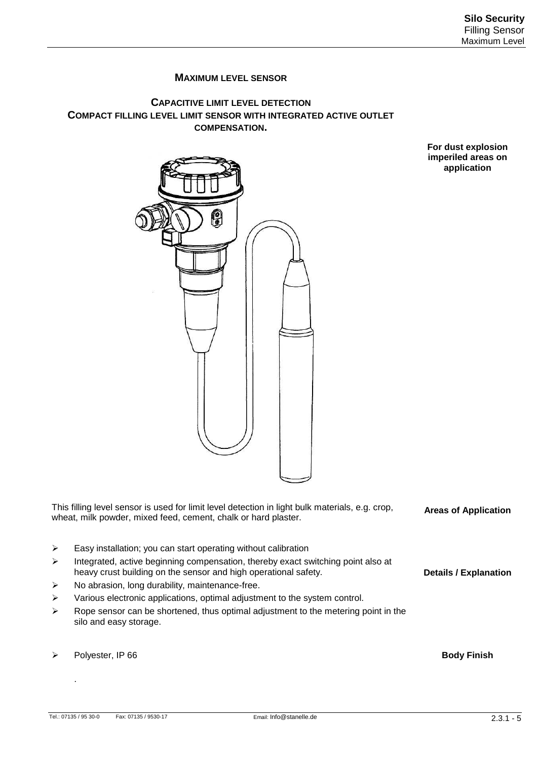# **MAXIMUM LEVEL SENSOR**

## **CAPACITIVE LIMIT LEVEL DETECTION COMPACT FILLING LEVEL LIMIT SENSOR WITH INTEGRATED ACTIVE OUTLET COMPENSATION.**

**For dust explosion imperiled areas on application** 



This filling level sensor is used for limit level detection in light bulk materials, e.g. crop, wheat, milk powder, mixed feed, cement, chalk or hard plaster. **Areas of Application** 

- $\triangleright$  Easy installation; you can start operating without calibration
- $\triangleright$  Integrated, active beginning compensation, thereby exact switching point also at heavy crust building on the sensor and high operational safety.
- $\triangleright$  No abrasion, long durability, maintenance-free.
- $\triangleright$  Various electronic applications, optimal adjustment to the system control.
- $\triangleright$  Rope sensor can be shortened, thus optimal adjustment to the metering point in the silo and easy storage.
- Polyester, IP 66

.

**Body Finish** 

**Details / Explanation**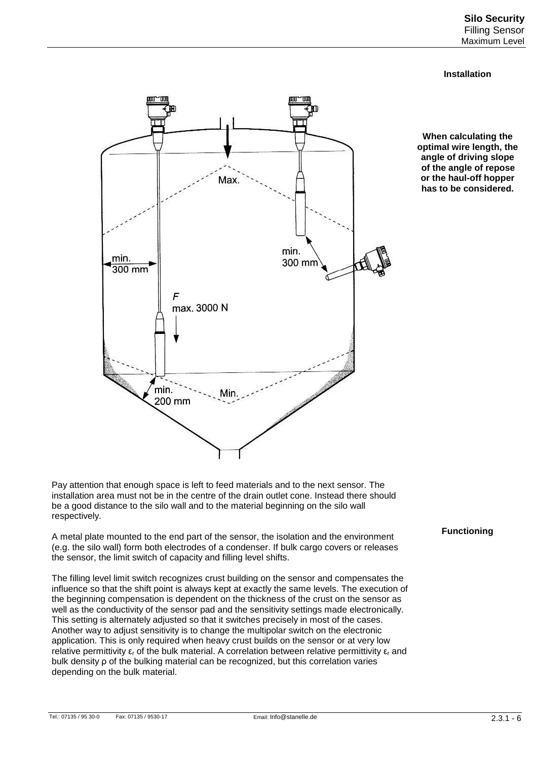### **Installation**



**When calculating the optimal wire length, the angle of driving slope of the angle of repose or the haul-off hopper has to be considered.** 

Pay attention that enough space is left to feed materials and to the next sensor. The installation area must not be in the centre of the drain outlet cone. Instead there should be a good distance to the silo wall and to the material beginning on the silo wall respectively.

A metal plate mounted to the end part of the sensor, the isolation and the environment (e.g. the silo wall) form both electrodes of a condenser. If bulk cargo covers or releases the sensor, the limit switch of capacity and filling level shifts.

The filling level limit switch recognizes crust building on the sensor and compensates the influence so that the shift point is always kept at exactly the same levels. The execution of the beginning compensation is dependent on the thickness of the crust on the sensor as well as the conductivity of the sensor pad and the sensitivity settings made electronically. This setting is alternately adjusted so that it switches precisely in most of the cases. Another way to adjust sensitivity is to change the multipolar switch on the electronic application. This is only required when heavy crust builds on the sensor or at very low relative permittivity  $\varepsilon_r$  of the bulk material. A correlation between relative permittivity  $\varepsilon_r$  and bulk density ρ of the bulking material can be recognized, but this correlation varies depending on the bulk material.

## **Functioning**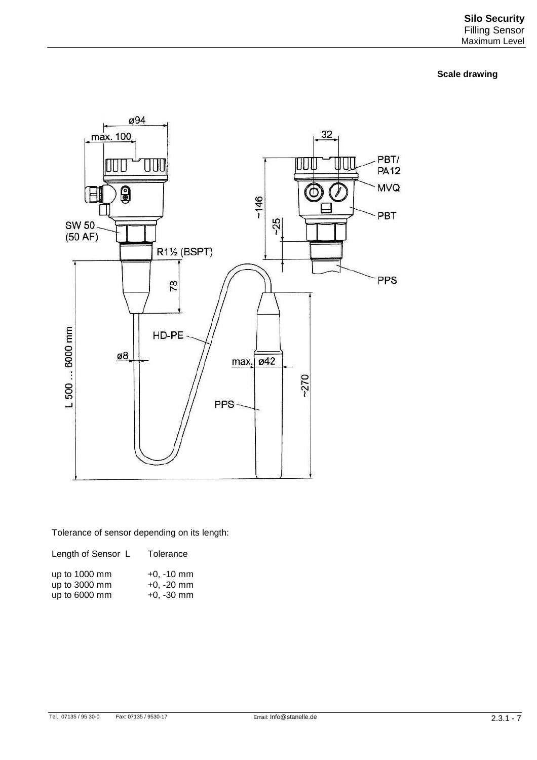**Scale drawing** 



Tolerance of sensor depending on its length:

| Length of Sensor L | Tolerance    |
|--------------------|--------------|
| up to 1000 mm      | $+0. -10$ mm |
| up to 3000 mm      | $+0, -20$ mm |
| up to 6000 mm      | $+0, -30$ mm |